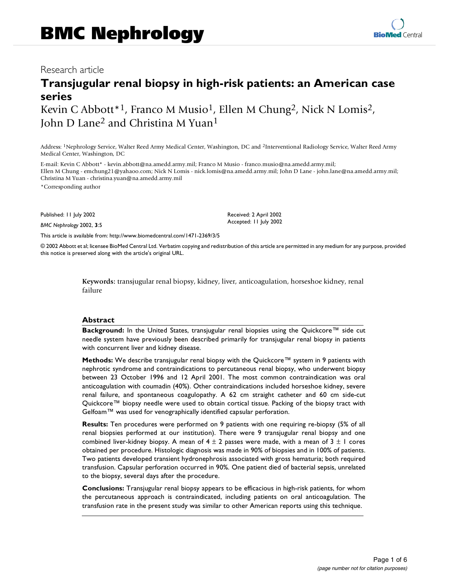## Research article

# **Transjugular renal biopsy in high-risk patients: an American case series**

Kevin C Abbott<sup>\*1</sup>, Franco M Musio<sup>1</sup>, Ellen M Chung<sup>2</sup>, Nick N Lomis<sup>2</sup>, John D Lane2 and Christina M Yuan1

Address: 1Nephrology Service, Walter Reed Army Medical Center, Washington, DC and 2Interventional Radiology Service, Walter Reed Army Medical Center, Washington, DC

E-mail: Kevin C Abbott\* - kevin.abbott@na.amedd.army.mil; Franco M Musio - franco.musio@na.amedd.army.mil; Ellen M Chung - emchung21@yahaoo.com; Nick N Lomis - nick.lomis@na.amedd.army.mil; John D Lane - john.lane@na.amedd.army.mil; Christina M Yuan - christina.yuan@na.amedd.army.mil

\*Corresponding author

Published: 11 July 2002

*BMC Nephrology* 2002, **3**:5

[This article is available from: http://www.biomedcentral.com/1471-2369/3/5](http://www.biomedcentral.com/1471-2369/3/5)

© 2002 Abbott et al; licensee BioMed Central Ltd. Verbatim copying and redistribution of this article are permitted in any medium for any purpose, provided this notice is preserved along with the article's original URL.

> **Keywords:** transjugular renal biopsy, kidney, liver, anticoagulation, horseshoe kidney, renal failure

#### **Abstract**

**Background:** In the United States, transjugular renal biopsies using the Quickcore™ side cut needle system have previously been described primarily for transjugular renal biopsy in patients with concurrent liver and kidney disease.

**Methods:** We describe transjugular renal biopsy with the Quickcore™ system in 9 patients with nephrotic syndrome and contraindications to percutaneous renal biopsy, who underwent biopsy between 23 October 1996 and 12 April 2001. The most common contraindication was oral anticoagulation with coumadin (40%). Other contraindications included horseshoe kidney, severe renal failure, and spontaneous coagulopathy. A 62 cm straight catheter and 60 cm side-cut Quickcore™ biopsy needle were used to obtain cortical tissue. Packing of the biopsy tract with Gelfoam™ was used for venographically identified capsular perforation.

**Results:** Ten procedures were performed on 9 patients with one requiring re-biopsy (5% of all renal biopsies performed at our institution). There were 9 transjugular renal biopsy and one combined liver-kidney biopsy. A mean of  $4 \pm 2$  passes were made, with a mean of  $3 \pm 1$  cores obtained per procedure. Histologic diagnosis was made in 90% of biopsies and in 100% of patients. Two patients developed transient hydronephrosis associated with gross hematuria; both required transfusion. Capsular perforation occurred in 90%. One patient died of bacterial sepsis, unrelated to the biopsy, several days after the procedure.

**Conclusions:** Transjugular renal biopsy appears to be efficacious in high-risk patients, for whom the percutaneous approach is contraindicated, including patients on oral anticoagulation. The transfusion rate in the present study was similar to other American reports using this technique.

Received: 2 April 2002 Accepted: 11 July 2002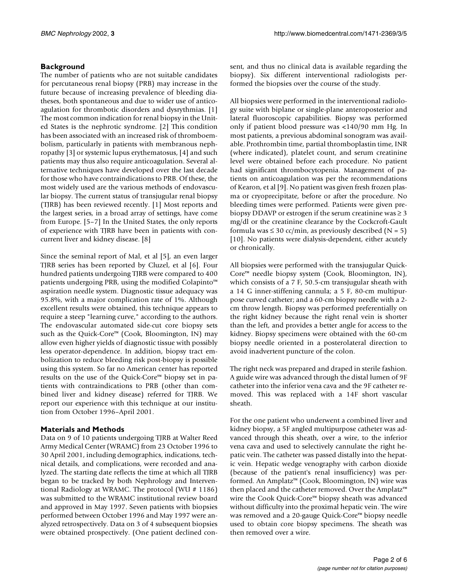## **Background**

The number of patients who are not suitable candidates for percutaneous renal biopsy (PRB) may increase in the future because of increasing prevalence of bleeding diatheses, both spontaneous and due to wider use of anticoagulation for thrombotic disorders and dysrythmias. [1] The most common indication for renal biopsy in the United States is the nephrotic syndrome. [2] This condition has been associated with an increased risk of thromboembolism, particularly in patients with membranous nephropathy [3] or systemic lupus erythematosus, [4] and such patients may thus also require anticoagulation. Several alternative techniques have developed over the last decade for those who have contraindications to PRB. Of these, the most widely used are the various methods of endovascular biopsy. The current status of transjugular renal biopsy (TJRB) has been reviewed recently. [1] Most reports and the largest series, in a broad array of settings, have come from Europe. [5–7] In the United States, the only reports of experience with TJRB have been in patients with concurrent liver and kidney disease. [8]

Since the seminal report of Mal, et al [5], an even larger TJRB series has been reported by Cluzel, et al [6]. Four hundred patients undergoing TJRB were compared to 400 patients undergoing PRB, using the modified Colapinto™ aspiration needle system. Diagnostic tissue adequacy was 95.8%, with a major complication rate of 1%. Although excellent results were obtained, this technique appears to require a steep "learning curve," according to the authors. The endovascular automated side-cut core biopsy sets such as the Quick-Core™ (Cook, Bloomington, IN) may allow even higher yields of diagnostic tissue with possibly less operator-dependence. In addition, biopsy tract embolization to reduce bleeding risk post-biopsy is possible using this system. So far no American center has reported results on the use of the Quick-Core™ biopsy set in patients with contraindications to PRB (other than combined liver and kidney disease) referred for TJRB. We report our experience with this technique at our institution from October 1996–April 2001.

## **Materials and Methods**

Data on 9 of 10 patients undergoing TJRB at Walter Reed Army Medical Center (WRAMC) from 23 October 1996 to 30 April 2001, including demographics, indications, technical details, and complications, were recorded and analyzed. The starting date reflects the time at which all TJRB began to be tracked by both Nephrology and Interventional Radiology at WRAMC. The protocol (WU # 1186) was submitted to the WRAMC institutional review board and approved in May 1997. Seven patients with biopsies performed between October 1996 and May 1997 were analyzed retrospectively. Data on 3 of 4 subsequent biopsies were obtained prospectively. (One patient declined consent, and thus no clinical data is available regarding the biopsy). Six different interventional radiologists performed the biopsies over the course of the study.

All biopsies were performed in the interventional radiology suite with biplane or single-plane anteroposterior and lateral fluoroscopic capabilities. Biopsy was performed only if patient blood pressure was <140/90 mm Hg. In most patients, a previous abdominal sonogram was available. Prothrombin time, partial thromboplastin time, INR (where indicated), platelet count, and serum creatinine level were obtained before each procedure. No patient had significant thrombocytopenia. Management of patients on anticoagulation was per the recommendations of Kearon, et al [9]. No patient was given fresh frozen plasma or cryoprecipitate, before or after the procedure. No bleeding times were performed. Patients were given prebiopsy DDAVP or estrogen if the serum creatinine was  $\geq 3$ mg/dl or the creatinine clearance by the Cockcroft-Gault formula was  $\leq 30$  cc/min, as previously described (N = 5) [10]. No patients were dialysis-dependent, either acutely or chronically.

All biopsies were performed with the transjugular Quick-Core™ needle biopsy system (Cook, Bloomington, IN), which consists of a 7 F, 50.5-cm transjugular sheath with a 14 G inner-stiffening cannula; a 5 F, 80-cm multipurpose curved catheter; and a 60-cm biopsy needle with a 2 cm throw length. Biopsy was performed preferentially on the right kidney because the right renal vein is shorter than the left, and provides a better angle for access to the kidney. Biopsy specimens were obtained with the 60-cm biopsy needle oriented in a posterolateral direction to avoid inadvertent puncture of the colon.

The right neck was prepared and draped in sterile fashion. A guide wire was advanced through the distal lumen of 9F catheter into the inferior vena cava and the 9F catheter removed. This was replaced with a 14F short vascular sheath.

For the one patient who underwent a combined liver and kidney biopsy, a 5F angled multipurpose catheter was advanced through this sheath, over a wire, to the inferior vena cava and used to selectively cannulate the right hepatic vein. The catheter was passed distally into the hepatic vein. Hepatic wedge venography with carbon dioxide (because of the patient's renal insufficiency) was performed. An Amplatz™ (Cook, Bloomington, IN) wire was then placed and the catheter removed. Over the Amplatz™ wire the Cook Quick-Core™ biopsy sheath was advanced without difficulty into the proximal hepatic vein. The wire was removed and a 20-gauge Quick-Core™ biopsy needle used to obtain core biopsy specimens. The sheath was then removed over a wire.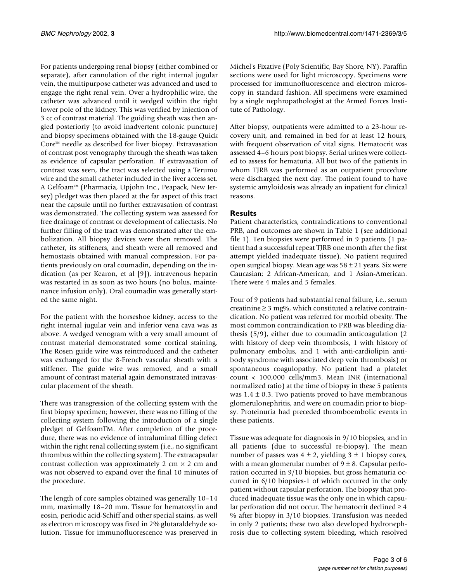For patients undergoing renal biopsy (either combined or separate), after cannulation of the right internal jugular vein, the multipurpose catheter was advanced and used to engage the right renal vein. Over a hydrophilic wire, the catheter was advanced until it wedged within the right lower pole of the kidney. This was verified by injection of 3 cc of contrast material. The guiding sheath was then angled posteriorly (to avoid inadvertent colonic puncture) and biopsy specimens obtained with the 18-gauge Quick Core™ needle as described for liver biopsy. Extravasation of contrast post venography through the sheath was taken as evidence of capsular perforation. If extravasation of contrast was seen, the tract was selected using a Terumo wire and the small catheter included in the liver access set. A Gelfoam™ (Pharmacia, Upjohn Inc., Peapack, New Jersey) pledget was then placed at the far aspect of this tract near the capsule until no further extravasation of contrast was demonstrated. The collecting system was assessed for free drainage of contrast or development of caliectasis. No further filling of the tract was demonstrated after the embolization. All biopsy devices were then removed. The catheter, its stiffeners, and sheath were all removed and hemostasis obtained with manual compression. For patients previously on oral coumadin, depending on the indication (as per Kearon, et al [9]), intravenous heparin was restarted in as soon as two hours (no bolus, maintenance infusion only). Oral coumadin was generally started the same night.

For the patient with the horseshoe kidney, access to the right internal jugular vein and inferior vena cava was as above. A wedged venogram with a very small amount of contrast material demonstrated some cortical staining. The Rosen guide wire was reintroduced and the catheter was exchanged for the 8-French vascular sheath with a stiffener. The guide wire was removed, and a small amount of contrast material again demonstrated intravascular placement of the sheath.

There was transgression of the collecting system with the first biopsy specimen; however, there was no filling of the collecting system following the introduction of a single pledget of GelfoamTM. After completion of the procedure, there was no evidence of intraluminal filling defect within the right renal collecting system (i.e., no significant thrombus within the collecting system). The extracapsular contrast collection was approximately 2 cm  $\times$  2 cm and was not observed to expand over the final 10 minutes of the procedure.

The length of core samples obtained was generally 10–14 mm, maximally 18–20 mm. Tissue for hematoxylin and eosin, periodic acid-Schiff and other special stains, as well as electron microscopy was fixed in 2% glutaraldehyde solution. Tissue for immunofluorescence was preserved in Michel's Fixative (Poly Scientific, Bay Shore, NY). Paraffin sections were used for light microscopy. Specimens were processed for immunofluorescence and electron microscopy in standard fashion. All specimens were examined by a single nephropathologist at the Armed Forces Institute of Pathology.

After biopsy, outpatients were admitted to a 23-hour recovery unit, and remained in bed for at least 12 hours, with frequent observation of vital signs. Hematocrit was assessed 4–6 hours post biopsy. Serial urines were collected to assess for hematuria. All but two of the patients in whom TJRB was performed as an outpatient procedure were discharged the next day. The patient found to have systemic amyloidosis was already an inpatient for clinical reasons.

## **Results**

Patient characteristics, contraindications to conventional PRB, and outcomes are shown in Table 1 (see additional file 1). Ten biopsies were performed in 9 patients (1 patient had a successful repeat TJRB one month after the first attempt yielded inadequate tissue). No patient required open surgical biopsy. Mean age was  $58 \pm 21$  years. Six were Caucasian; 2 African-American, and 1 Asian-American. There were 4 males and 5 females.

Four of 9 patients had substantial renal failure, i.e., serum creatinine  $\geq 3$  mg%, which constituted a relative contraindication. No patient was referred for morbid obesity. The most common contraindication to PRB was bleeding diathesis (5/9), either due to coumadin anticoagulation (2 with history of deep vein thrombosis, 1 with history of pulmonary embolus, and 1 with anti-cardiolipin antibody syndrome with associated deep vein thrombosis) or spontaneous coagulopathy. No patient had a platelet count < 100,000 cells/mm3. Mean INR (international normalized ratio) at the time of biopsy in these 5 patients was  $1.4 \pm 0.3$ . Two patients proved to have membranous glomerulonephritis, and were on coumadin prior to biopsy. Proteinuria had preceded thromboembolic events in these patients.

Tissue was adequate for diagnosis in 9/10 biopsies, and in all patients (due to successful re-biopsy). The mean number of passes was  $4 \pm 2$ , yielding  $3 \pm 1$  biopsy cores, with a mean glomerular number of  $9 \pm 8$ . Capsular perforation occurred in 9/10 biopsies, but gross hematuria occurred in 6/10 biopsies-1 of which occurred in the only patient without capsular perforation. The biopsy that produced inadequate tissue was the only one in which capsular perforation did not occur. The hematocrit declined ≥ 4 % after biopsy in 3/10 biopsies. Transfusion was needed in only 2 patients; these two also developed hydronephrosis due to collecting system bleeding, which resolved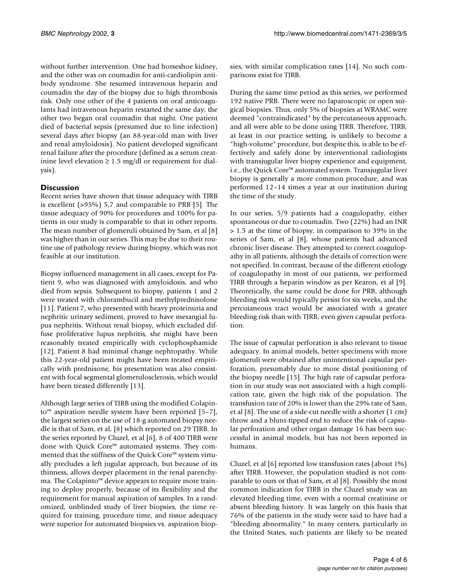without further intervention. One had horseshoe kidney, and the other was on coumadin for anti-cardiolipin antibody syndrome. She resumed intravenous heparin and coumadin the day of the biopsy due to high thrombosis risk. Only one other of the 4 patients on oral anticoagulants had intravenous heparin restarted the same day; the other two began oral coumadin that night. One patient died of bacterial sepsis (presumed due to line infection) several days after biopsy (an 88-year-old man with liver and renal amyloidosis). No patient developed significant renal failure after the procedure (defined as a serum creatinine level elevation ≥ 1.5 mg/dl or requirement for dialysis).

## **Discussion**

Recent series have shown that tissue adequacy with TJRB is excellent (>95%) 5,7 and comparable to PRB [5]. The tissue adequacy of 90% for procedures and 100% for patients in our study is comparable to that in other reports. The mean number of glomeruli obtained by Sam, et al [8] was higher than in our series. This may be due to their routine use of pathology review during biopsy, which was not feasible at our institution.

Biopsy influenced management in all cases, except for Patient 9, who was diagnosed with amyloidosis, and who died from sepsis. Subsequent to biopsy, patients 1 and 2 were treated with chlorambucil and methylprednisolone [11]. Patient 7, who presented with heavy proteinuria and nephritic urinary sediment, proved to have mesangial lupus nephritis. Without renal biopsy, which excluded diffuse proliferative lupus nephritis, she might have been reasonably treated empirically with cyclophosphamide [12]. Patient 8 had minimal change nephropathy. While this 22-year-old patient might have been treated empirically with prednisone, his presentation was also consistent with focal segmental glomerulosclerosis, which would have been treated differently [13].

Although large series of TJRB using the modified Colapinto™ aspiration needle system have been reported [5–7], the largest series on the use of 18-g automated biopsy needle is that of Sam, et al, [8] which reported on 29 TJRB. In the series reported by Cluzel, et al [6], 8 of 400 TJRB were done with Quick Core™ automated systems. They commented that the stiffness of the Quick Core™ system virtually precludes a left jugular approach, but because of its thinness, allows deeper placement in the renal parenchyma. The Colapinto™ device appears to require more training to deploy properly, because of its flexibility and the requirement for manual aspiration of samples. In a randomized, unblinded study of liver biopsies, the time required for training, procedure time, and tissue adequacy were superior for automated biopsies vs. aspiration biopsies, with similar complication rates [14]. No such comparisons exist for TJRB.

During the same time period as this series, we performed 192 native PRB. There were no laparoscopic or open surgical biopsies. Thus, only 5% of biopsies at WRAMC were deemed "contraindicated" by the percutaneous approach, and all were able to be done using TJRB. Therefore, TJRB, at least in our practice setting, is unlikely to become a "high-volume" procedure, but despite this, is able to be effectively and safely done by interventional radiologists with transjugular liver biopsy experience and equipment, i.e., the Quick Core™ automated system. Transjugular liver biopsy is generally a more common procedure, and was performed 12–14 times a year at our institution during the time of the study.

In our series, 5/9 patients had a coagulopathy, either spontaneous or due to coumadin. Two (22%) had an INR > 1.5 at the time of biopsy, in comparison to 39% in the series of Sam, et al [8], whose patients had advanced chronic liver disease. They attempted to correct coagulopathy in all patients, although the details of correction were not specified. In contrast, because of the different etiology of coagulopathy in most of our patients, we performed TJRB through a heparin window as per Kearon, et al [9]. Theoretically, the same could be done for PRB, although bleeding risk would typically persist for six weeks, and the percutaneous tract would be associated with a greater bleeding risk than with TJRB, even given capsular perforation.

The issue of capsular perforation is also relevant to tissue adequacy. In animal models, better specimens with more glomeruli were obtained after unintentional capsular perforation, presumably due to more distal positioning of the biopsy needle [15]. The high rate of capsular perforation in our study was not associated with a high complication rate, given the high risk of the population. The transfusion rate of 20% is lower than the 29% rate of Sam, et al [8]. The use of a side-cut needle with a shorter (1 cm) throw and a blunt-tipped end to reduce the risk of capsular perforation and other organ damage 16 has been successful in animal models, but has not been reported in humans.

Cluzel, et al [6] reported low transfusion rates (about 1%) after TJRB. However, the population studied is not comparable to ours or that of Sam, et al [8]. Possibly the most common indication for TJRB in the Cluzel study was an elevated bleeding time, even with a normal creatinine or absent bleeding history. It was largely on this basis that 76% of the patients in the study were said to have had a "bleeding abnormality." In many centers, particularly in the United States, such patients are likely to be treated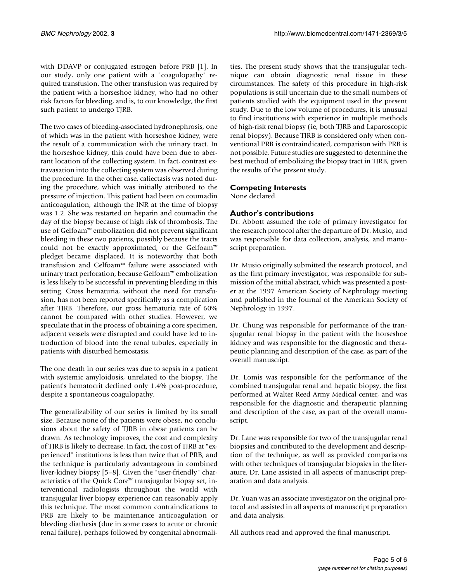with DDAVP or conjugated estrogen before PRB [1]. In our study, only one patient with a "coagulopathy" required transfusion. The other transfusion was required by the patient with a horseshoe kidney, who had no other risk factors for bleeding, and is, to our knowledge, the first such patient to undergo TJRB.

The two cases of bleeding-associated hydronephrosis, one of which was in the patient with horseshoe kidney, were the result of a communication with the urinary tract. In the horseshoe kidney, this could have been due to aberrant location of the collecting system. In fact, contrast extravasation into the collecting system was observed during the procedure. In the other case, caliectasis was noted during the procedure, which was initially attributed to the pressure of injection. This patient had been on coumadin anticoagulation, although the INR at the time of biopsy was 1.2. She was restarted on heparin and coumadin the day of the biopsy because of high risk of thrombosis. The use of Gelfoam™ embolization did not prevent significant bleeding in these two patients, possibly because the tracts could not be exactly approximated, or the Gelfoam™ pledget became displaced. It is noteworthy that both transfusion and Gelfoam™ failure were associated with urinary tract perforation, because Gelfoam™ embolization is less likely to be successful in preventing bleeding in this setting. Gross hematuria, without the need for transfusion, has not been reported specifically as a complication after TJRB. Therefore, our gross hematuria rate of 60% cannot be compared with other studies. However, we speculate that in the process of obtaining a core specimen, adjacent vessels were disrupted and could have led to introduction of blood into the renal tubules, especially in patients with disturbed hemostasis.

The one death in our series was due to sepsis in a patient with systemic amyloidosis, unrelated to the biopsy. The patient's hematocrit declined only 1.4% post-procedure, despite a spontaneous coagulopathy.

The generalizability of our series is limited by its small size. Because none of the patients were obese, no conclusions about the safety of TJRB in obese patients can be drawn. As technology improves, the cost and complexity of TJRB is likely to decrease. In fact, the cost of TJRB at "experienced" institutions is less than twice that of PRB, and the technique is particularly advantageous in combined liver-kidney biopsy [5–8]. Given the "user-friendly" characteristics of the Quick Core™ transjugular biopsy set, interventional radiologists throughout the world with transjugular liver biopsy experience can reasonably apply this technique. The most common contraindications to PRB are likely to be maintenance anticoagulation or bleeding diathesis (due in some cases to acute or chronic renal failure), perhaps followed by congenital abnormalities. The present study shows that the transjugular technique can obtain diagnostic renal tissue in these circumstances. The safety of this procedure in high-risk populations is still uncertain due to the small numbers of patients studied with the equipment used in the present study. Due to the low volume of procedures, it is unusual to find institutions with experience in multiple methods of high-risk renal biopsy (ie, both TJRB and Laparoscopic renal biopsy). Because TJRB is considered only when conventional PRB is contraindicated, comparison with PRB is not possible. Future studies are suggested to determine the best method of embolizing the biopsy tract in TJRB, given the results of the present study.

## **Competing Interests**

None declared.

## **Author's contributions**

Dr. Abbott assumed the role of primary investigator for the research protocol after the departure of Dr. Musio, and was responsible for data collection, analysis, and manuscript preparation.

Dr. Musio originally submitted the research protocol, and as the first primary investigator, was responsible for submission of the initial abstract, which was presented a poster at the 1997 American Society of Nephrology meeting and published in the Journal of the American Society of Nephrology in 1997.

Dr. Chung was responsible for performance of the transjugular renal biopsy in the patient with the horseshoe kidney and was responsible for the diagnostic and therapeutic planning and description of the case, as part of the overall manuscript.

Dr. Lomis was responsible for the performance of the combined transjugular renal and hepatic biopsy, the first performed at Walter Reed Army Medical center, and was responsible for the diagnostic and therapeutic planning and description of the case, as part of the overall manuscript.

Dr. Lane was responsible for two of the transjugular renal biopsies and contributed to the development and description of the technique, as well as provided comparisons with other techniques of transjugular biopsies in the literature. Dr. Lane assisted in all aspects of manuscript preparation and data analysis.

Dr. Yuan was an associate investigator on the original protocol and assisted in all aspects of manuscript preparation and data analysis.

All authors read and approved the final manuscript.